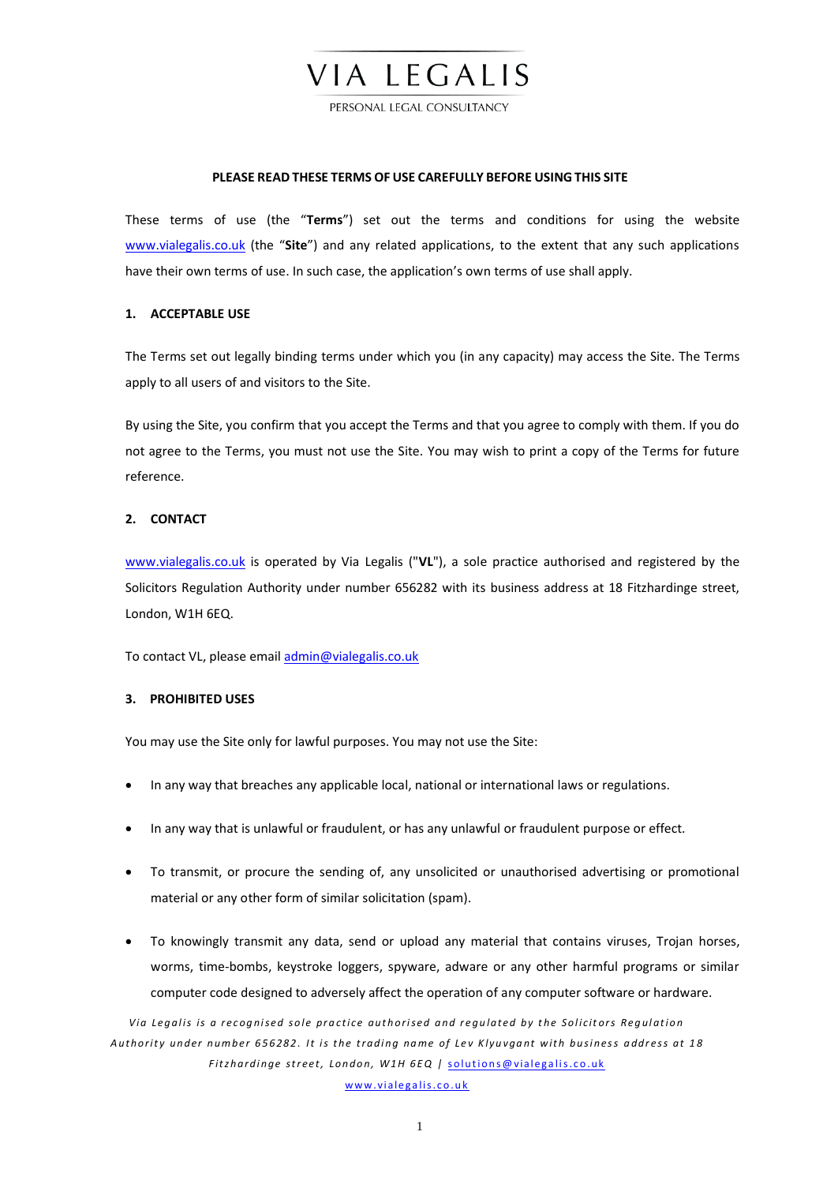# VIA LEGALIS

PERSONAL LEGAL CONSULTANCY

#### **PLEASE READ THESE TERMS OF USE CAREFULLY BEFORE USING THIS SITE**

These terms of use (the "**Terms**") set out the terms and conditions for using the website [www.vialegalis.co.uk](http://www.vialegalis.co.uk/) (the "**Site**") and any related applications, to the extent that any such applications have their own terms of use. In such case, the application's own terms of use shall apply.

### **1. ACCEPTABLE USE**

The Terms set out legally binding terms under which you (in any capacity) may access the Site. The Terms apply to all users of and visitors to the Site.

By using the Site, you confirm that you accept the Terms and that you agree to comply with them. If you do not agree to the Terms, you must not use the Site. You may wish to print a copy of the Terms for future reference.

# **2. CONTACT**

[www.vialegalis.co.uk](http://www.vialegalis.co.uk/) is operated by Via Legalis ("**VL**"), a sole practice authorised and registered by the Solicitors Regulation Authority under number 656282 with its business address at 18 Fitzhardinge street, London, W1H 6EQ.

To contact VL, please emai[l admin@vialegalis.co.uk](mailto:admin@vialegalis.co.uk)

## **3. PROHIBITED USES**

You may use the Site only for lawful purposes. You may not use the Site:

- In any way that breaches any applicable local, national or international laws or regulations.
- In any way that is unlawful or fraudulent, or has any unlawful or fraudulent purpose or effect.
- To transmit, or procure the sending of, any unsolicited or unauthorised advertising or promotional material or any other form of similar solicitation (spam).
- To knowingly transmit any data, send or upload any material that contains viruses, Trojan horses, worms, time-bombs, keystroke loggers, spyware, adware or any other harmful programs or similar computer code designed to adversely affect the operation of any computer software or hardware.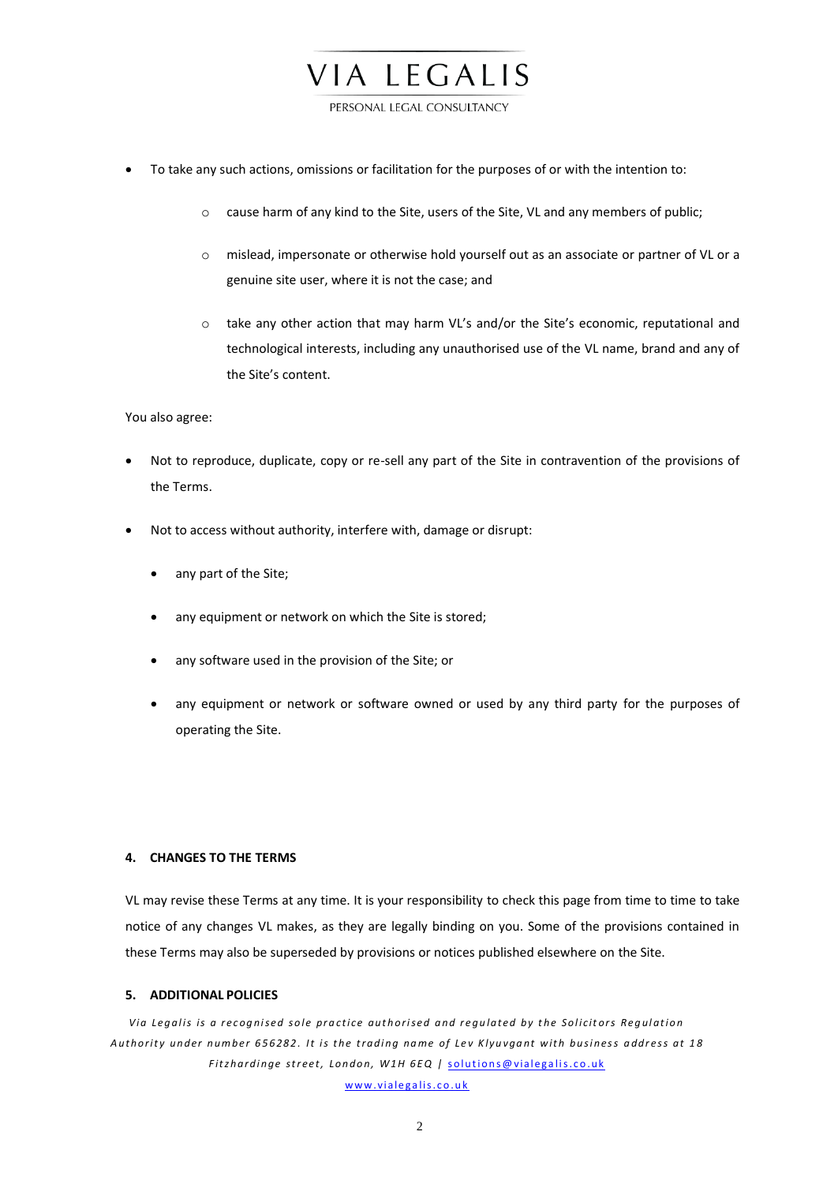

- To take any such actions, omissions or facilitation for the purposes of or with the intention to:
	- o cause harm of any kind to the Site, users of the Site, VL and any members of public;
	- o mislead, impersonate or otherwise hold yourself out as an associate or partner of VL or a genuine site user, where it is not the case; and
	- o take any other action that may harm VL's and/or the Site's economic, reputational and technological interests, including any unauthorised use of the VL name, brand and any of the Site's content.

#### You also agree:

- Not to reproduce, duplicate, copy or re-sell any part of the Site in contravention of the provisions of the Terms.
- Not to access without authority, interfere with, damage or disrupt:
	- any part of the Site;
	- any equipment or network on which the Site is stored;
	- any software used in the provision of the Site; or
	- any equipment or network or software owned or used by any third party for the purposes of operating the Site.

## **4. CHANGES TO THE TERMS**

VL may revise these Terms at any time. It is your responsibility to check this page from time to time to take notice of any changes VL makes, as they are legally binding on you. Some of the provisions contained in these Terms may also be superseded by provisions or notices published elsewhere on the Site.

### **5. ADDITIONAL POLICIES**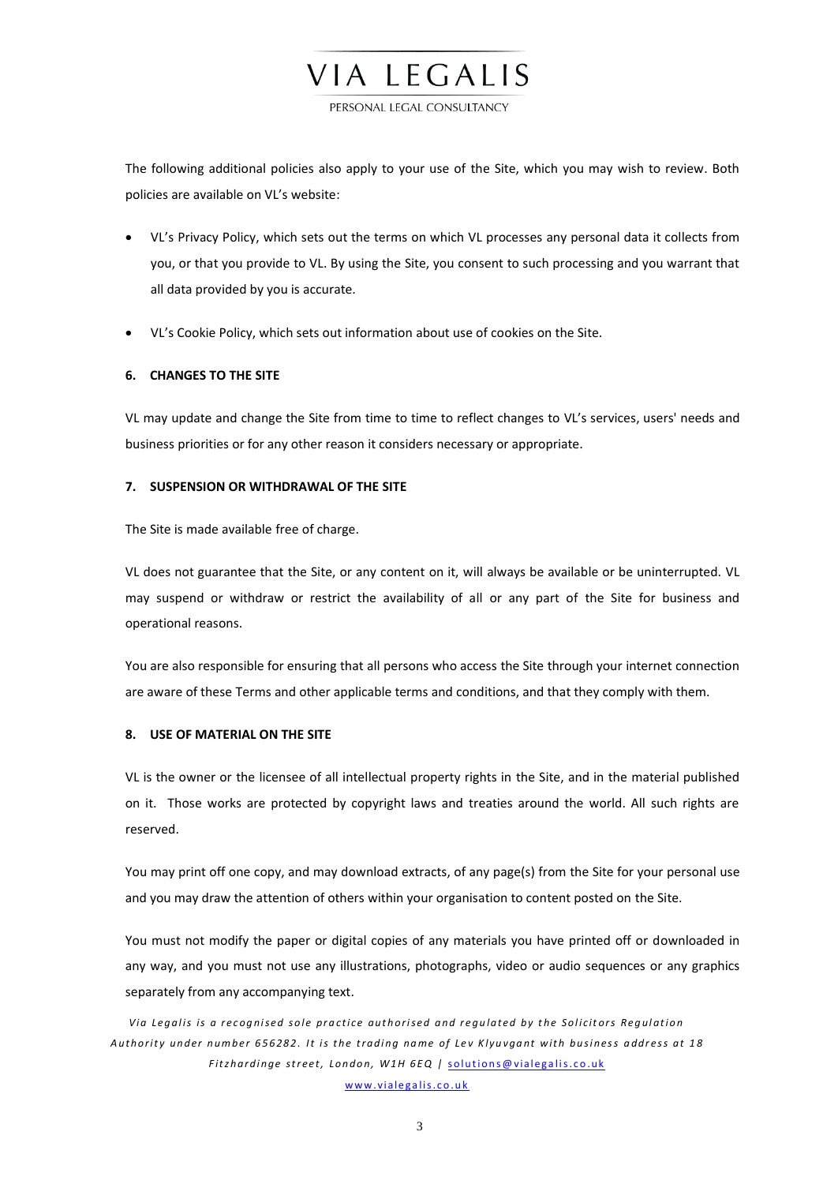PERSONAL LEGAL CONSULTANCY

VIA LEGALIS

The following additional policies also apply to your use of the Site, which you may wish to review. Both policies are available on VL's website:

- VL's Privacy Policy, which sets out the terms on which VL processes any personal data it collects from you, or that you provide to VL. By using the Site, you consent to such processing and you warrant that all data provided by you is accurate.
- VL's Cookie Policy, which sets out information about use of cookies on the Site.

# **6. CHANGES TO THE SITE**

VL may update and change the Site from time to time to reflect changes to VL's services, users' needs and business priorities or for any other reason it considers necessary or appropriate.

### **7. SUSPENSION OR WITHDRAWAL OF THE SITE**

The Site is made available free of charge.

VL does not guarantee that the Site, or any content on it, will always be available or be uninterrupted. VL may suspend or withdraw or restrict the availability of all or any part of the Site for business and operational reasons.

You are also responsible for ensuring that all persons who access the Site through your internet connection are aware of these Terms and other applicable terms and conditions, and that they comply with them.

## **8. USE OF MATERIAL ON THE SITE**

VL is the owner or the licensee of all intellectual property rights in the Site, and in the material published on it. Those works are protected by copyright laws and treaties around the world. All such rights are reserved.

You may print off one copy, and may download extracts, of any page(s) from the Site for your personal use and you may draw the attention of others within your organisation to content posted on the Site.

You must not modify the paper or digital copies of any materials you have printed off or downloaded in any way, and you must not use any illustrations, photographs, video or audio sequences or any graphics separately from any accompanying text.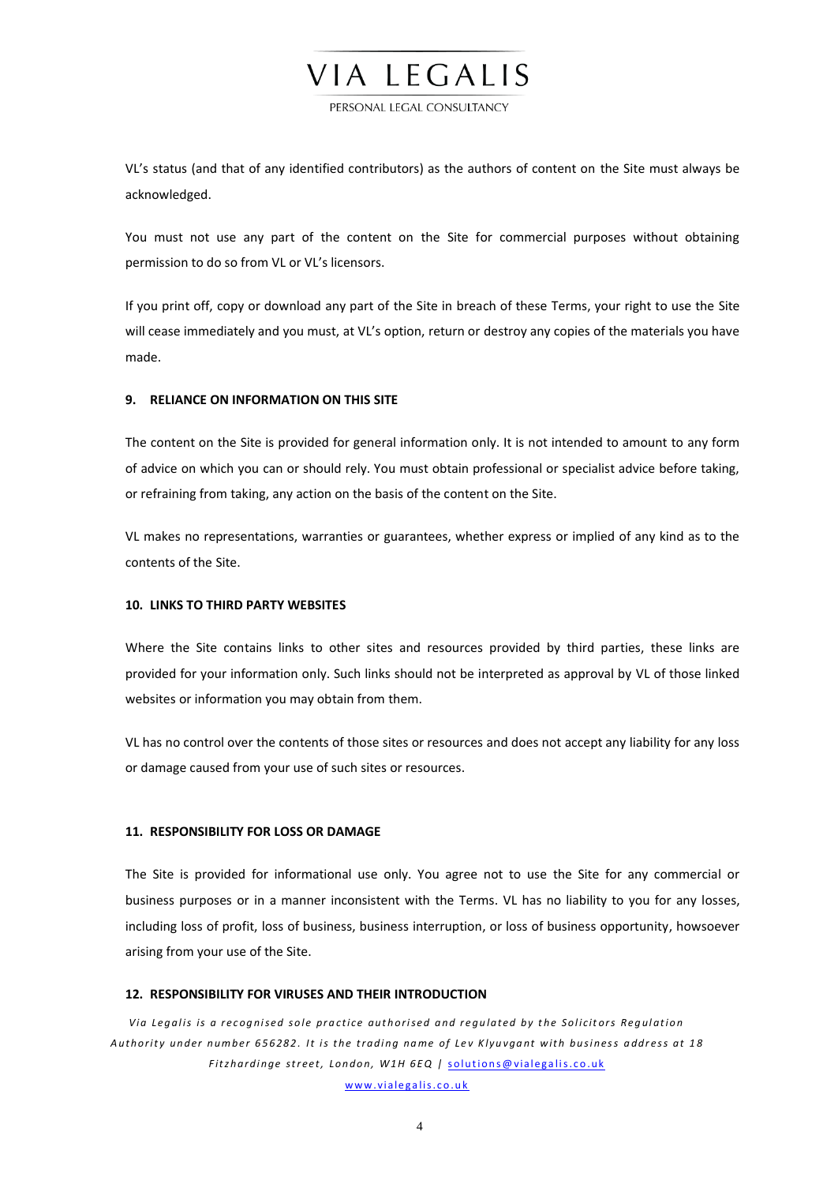#### PERSONAL LEGAL CONSULTANCY

VIA LEGALIS

VL's status (and that of any identified contributors) as the authors of content on the Site must always be acknowledged.

You must not use any part of the content on the Site for commercial purposes without obtaining permission to do so from VL or VL's licensors.

If you print off, copy or download any part of the Site in breach of these Terms, your right to use the Site will cease immediately and you must, at VL's option, return or destroy any copies of the materials you have made.

### **9. RELIANCE ON INFORMATION ON THIS SITE**

The content on the Site is provided for general information only. It is not intended to amount to any form of advice on which you can or should rely. You must obtain professional or specialist advice before taking, or refraining from taking, any action on the basis of the content on the Site.

VL makes no representations, warranties or guarantees, whether express or implied of any kind as to the contents of the Site.

### **10. LINKS TO THIRD PARTY WEBSITES**

Where the Site contains links to other sites and resources provided by third parties, these links are provided for your information only. Such links should not be interpreted as approval by VL of those linked websites or information you may obtain from them.

VL has no control over the contents of those sites or resources and does not accept any liability for any loss or damage caused from your use of such sites or resources.

### **11. RESPONSIBILITY FOR LOSS OR DAMAGE**

The Site is provided for informational use only. You agree not to use the Site for any commercial or business purposes or in a manner inconsistent with the Terms. VL has no liability to you for any losses, including loss of profit, loss of business, business interruption, or loss of business opportunity, howsoever arising from your use of the Site.

#### **12. RESPONSIBILITY FOR VIRUSES AND THEIR INTRODUCTION**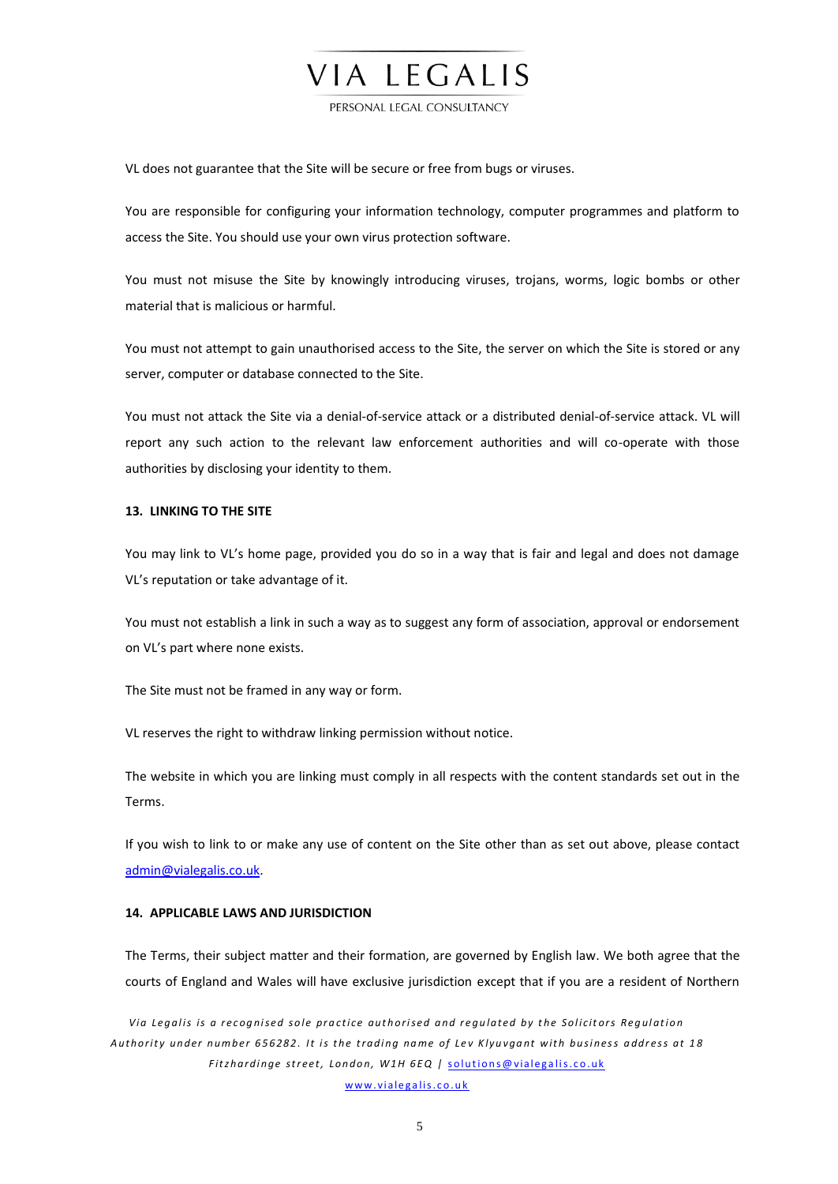# PERSONAL LEGAL CONSULTANCY

VIA LEGALIS

VL does not guarantee that the Site will be secure or free from bugs or viruses.

You are responsible for configuring your information technology, computer programmes and platform to access the Site. You should use your own virus protection software.

You must not misuse the Site by knowingly introducing viruses, trojans, worms, logic bombs or other material that is malicious or harmful.

You must not attempt to gain unauthorised access to the Site, the server on which the Site is stored or any server, computer or database connected to the Site.

You must not attack the Site via a denial-of-service attack or a distributed denial-of-service attack. VL will report any such action to the relevant law enforcement authorities and will co-operate with those authorities by disclosing your identity to them.

#### **13. LINKING TO THE SITE**

You may link to VL's home page, provided you do so in a way that is fair and legal and does not damage VL's reputation or take advantage of it.

You must not establish a link in such a way as to suggest any form of association, approval or endorsement on VL's part where none exists.

The Site must not be framed in any way or form.

VL reserves the right to withdraw linking permission without notice.

The website in which you are linking must comply in all respects with the content standards set out in the Terms.

If you wish to link to or make any use of content on the Site other than as set out above, please contact [admin@vialegalis.co.uk.](mailto:admin@vialegalis.co.uk)

### **14. APPLICABLE LAWS AND JURISDICTION**

The Terms, their subject matter and their formation, are governed by English law. We both agree that the courts of England and Wales will have exclusive jurisdiction except that if you are a resident of Northern